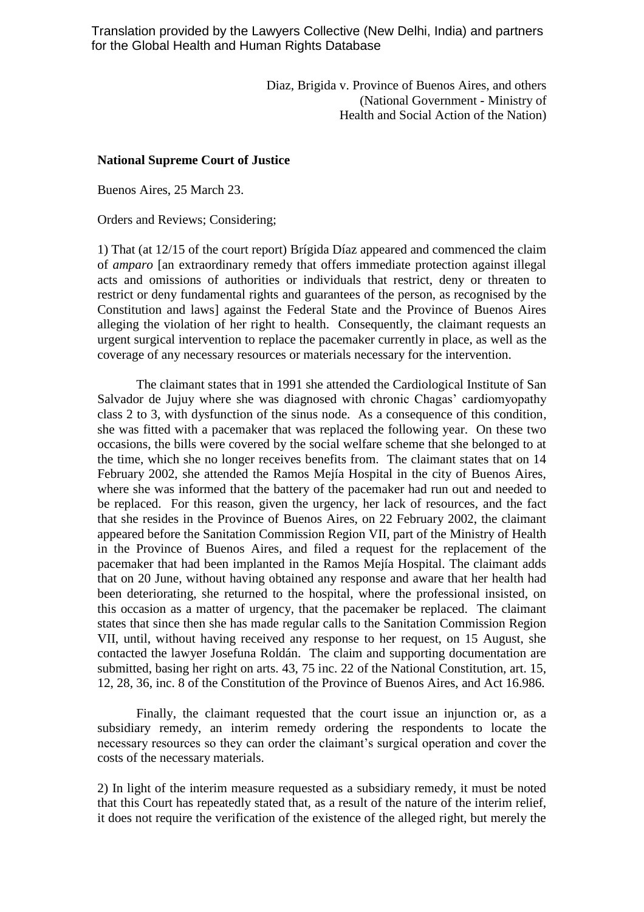Translation provided by the Lawyers Collective (New Delhi, India) and partners for the Global Health and Human Rights Database

> Diaz, Brigida v. Province of Buenos Aires, and others (National Government - Ministry of Health and Social Action of the Nation)

## **National Supreme Court of Justice**

Buenos Aires, 25 March 23.

Orders and Reviews; Considering;

1) That (at 12/15 of the court report) Brígida Díaz appeared and commenced the claim of *amparo* [an extraordinary remedy that offers immediate protection against illegal acts and omissions of authorities or individuals that restrict, deny or threaten to restrict or deny fundamental rights and guarantees of the person, as recognised by the Constitution and laws] against the Federal State and the Province of Buenos Aires alleging the violation of her right to health. Consequently, the claimant requests an urgent surgical intervention to replace the pacemaker currently in place, as well as the coverage of any necessary resources or materials necessary for the intervention.

The claimant states that in 1991 she attended the Cardiological Institute of San Salvador de Jujuy where she was diagnosed with chronic Chagas' cardiomyopathy class 2 to 3, with dysfunction of the sinus node. As a consequence of this condition, she was fitted with a pacemaker that was replaced the following year. On these two occasions, the bills were covered by the social welfare scheme that she belonged to at the time, which she no longer receives benefits from. The claimant states that on 14 February 2002, she attended the Ramos Mejía Hospital in the city of Buenos Aires, where she was informed that the battery of the pacemaker had run out and needed to be replaced. For this reason, given the urgency, her lack of resources, and the fact that she resides in the Province of Buenos Aires, on 22 February 2002, the claimant appeared before the Sanitation Commission Region VII, part of the Ministry of Health in the Province of Buenos Aires, and filed a request for the replacement of the pacemaker that had been implanted in the Ramos Mejía Hospital. The claimant adds that on 20 June, without having obtained any response and aware that her health had been deteriorating, she returned to the hospital, where the professional insisted, on this occasion as a matter of urgency, that the pacemaker be replaced. The claimant states that since then she has made regular calls to the Sanitation Commission Region VII, until, without having received any response to her request, on 15 August, she contacted the lawyer Josefuna Roldán. The claim and supporting documentation are submitted, basing her right on arts. 43, 75 inc. 22 of the National Constitution, art. 15, 12, 28, 36, inc. 8 of the Constitution of the Province of Buenos Aires, and Act 16.986.

Finally, the claimant requested that the court issue an injunction or, as a subsidiary remedy, an interim remedy ordering the respondents to locate the necessary resources so they can order the claimant's surgical operation and cover the costs of the necessary materials.

2) In light of the interim measure requested as a subsidiary remedy, it must be noted that this Court has repeatedly stated that, as a result of the nature of the interim relief, it does not require the verification of the existence of the alleged right, but merely the